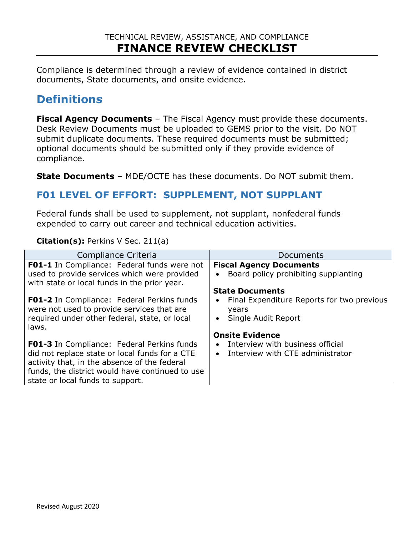Compliance is determined through a review of evidence contained in district documents, State documents, and onsite evidence.

# **Definitions**

**Fiscal Agency Documents** – The Fiscal Agency must provide these documents. Desk Review Documents must be uploaded to GEMS prior to the visit. Do NOT submit duplicate documents. These required documents must be submitted; optional documents should be submitted only if they provide evidence of compliance.

**State Documents** – MDE/OCTE has these documents. Do NOT submit them.

### **F01 LEVEL OF EFFORT: SUPPLEMENT, NOT SUPPLANT**

Federal funds shall be used to supplement, not supplant, nonfederal funds expended to carry out career and technical education activities.

#### **Citation(s):** Perkins V Sec. 211(a)

| Compliance Criteria                                                                             | Documents                                           |
|-------------------------------------------------------------------------------------------------|-----------------------------------------------------|
| FO1-1 In Compliance: Federal funds were not                                                     | <b>Fiscal Agency Documents</b>                      |
| used to provide services which were provided                                                    | Board policy prohibiting supplanting                |
| with state or local funds in the prior year.                                                    |                                                     |
|                                                                                                 | <b>State Documents</b>                              |
| <b>F01-2</b> In Compliance: Federal Perkins funds<br>were not used to provide services that are | Final Expenditure Reports for two previous<br>years |
| required under other federal, state, or local<br>laws.                                          | Single Audit Report                                 |
|                                                                                                 | <b>Onsite Evidence</b>                              |
|                                                                                                 |                                                     |
| <b>F01-3</b> In Compliance: Federal Perkins funds                                               | Interview with business official<br>$\bullet$       |
| did not replace state or local funds for a CTE                                                  | Interview with CTE administrator                    |
| activity that, in the absence of the federal                                                    |                                                     |
| funds, the district would have continued to use                                                 |                                                     |
| state or local funds to support.                                                                |                                                     |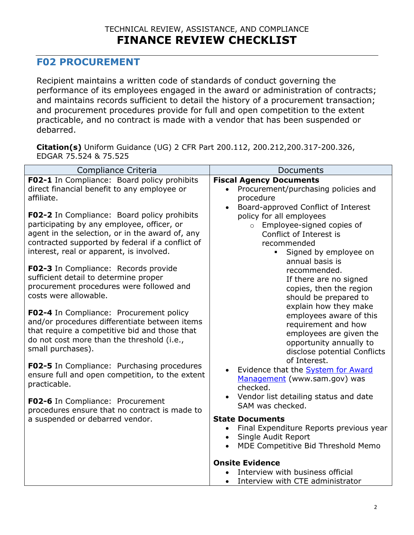### **F02 PROCUREMENT**

Recipient maintains a written code of standards of conduct governing the performance of its employees engaged in the award or administration of contracts; and maintains records sufficient to detail the history of a procurement transaction; and procurement procedures provide for full and open competition to the extent practicable, and no contract is made with a vendor that has been suspended or debarred.

**Citation(s)** Uniform Guidance (UG) 2 CFR Part 200.112, 200.212,200.317-200.326, EDGAR 75.524 & 75.525

| Compliance Criteria                                                                                                                                                                                                                          | Documents                                                                                                                                                                                                                                                              |
|----------------------------------------------------------------------------------------------------------------------------------------------------------------------------------------------------------------------------------------------|------------------------------------------------------------------------------------------------------------------------------------------------------------------------------------------------------------------------------------------------------------------------|
| F02-1 In Compliance: Board policy prohibits<br>direct financial benefit to any employee or<br>affiliate.                                                                                                                                     | <b>Fiscal Agency Documents</b><br>Procurement/purchasing policies and<br>procedure<br>Board-approved Conflict of Interest<br>$\bullet$                                                                                                                                 |
| F02-2 In Compliance: Board policy prohibits<br>participating by any employee, officer, or<br>agent in the selection, or in the award of, any<br>contracted supported by federal if a conflict of<br>interest, real or apparent, is involved. | policy for all employees<br>Employee-signed copies of<br>$\circ$<br>Conflict of Interest is<br>recommended<br>Signed by employee on<br>$\blacksquare$<br>annual basis is<br>recommended.<br>If there are no signed<br>copies, then the region<br>should be prepared to |
| F02-3 In Compliance: Records provide<br>sufficient detail to determine proper<br>procurement procedures were followed and<br>costs were allowable.                                                                                           |                                                                                                                                                                                                                                                                        |
| F02-4 In Compliance: Procurement policy<br>and/or procedures differentiate between items<br>that require a competitive bid and those that<br>do not cost more than the threshold (i.e.,<br>small purchases).                                 | explain how they make<br>employees aware of this<br>requirement and how<br>employees are given the<br>opportunity annually to<br>disclose potential Conflicts                                                                                                          |
| <b>F02-5</b> In Compliance: Purchasing procedures<br>ensure full and open competition, to the extent<br>practicable.                                                                                                                         | of Interest.<br>Evidence that the <b>System for Award</b><br>Management (www.sam.gov) was<br>checked.                                                                                                                                                                  |
| F02-6 In Compliance: Procurement<br>procedures ensure that no contract is made to<br>a suspended or debarred vendor.                                                                                                                         | • Vendor list detailing status and date<br>SAM was checked.                                                                                                                                                                                                            |
|                                                                                                                                                                                                                                              | <b>State Documents</b><br>• Final Expenditure Reports previous year<br>Single Audit Report<br>MDE Competitive Bid Threshold Memo                                                                                                                                       |
|                                                                                                                                                                                                                                              | <b>Onsite Evidence</b><br>Interview with business official<br>Interview with CTE administrator                                                                                                                                                                         |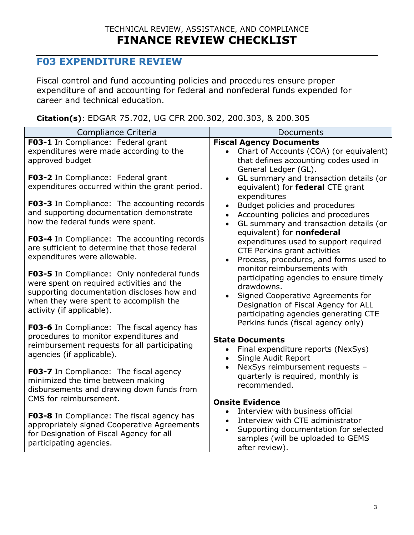## **F03 EXPENDITURE REVIEW**

Fiscal control and fund accounting policies and procedures ensure proper expenditure of and accounting for federal and nonfederal funds expended for career and technical education.

**Citation(s)**: EDGAR 75.702, UG CFR 200.302, 200.303, & 200.305

| Compliance Criteria                                                                                                                                                                                                 | Documents                                                                                                                                                                                                                             |
|---------------------------------------------------------------------------------------------------------------------------------------------------------------------------------------------------------------------|---------------------------------------------------------------------------------------------------------------------------------------------------------------------------------------------------------------------------------------|
| F03-1 In Compliance: Federal grant                                                                                                                                                                                  | <b>Fiscal Agency Documents</b>                                                                                                                                                                                                        |
| expenditures were made according to the<br>approved budget                                                                                                                                                          | Chart of Accounts (COA) (or equivalent)<br>$\bullet$<br>that defines accounting codes used in<br>General Ledger (GL).                                                                                                                 |
| F03-2 In Compliance: Federal grant<br>expenditures occurred within the grant period.                                                                                                                                | GL summary and transaction details (or<br>$\bullet$<br>equivalent) for federal CTE grant<br>expenditures                                                                                                                              |
| F03-3 In Compliance: The accounting records<br>and supporting documentation demonstrate<br>how the federal funds were spent.                                                                                        | Budget policies and procedures<br>Accounting policies and procedures<br>$\bullet$<br>GL summary and transaction details (or<br>$\bullet$<br>equivalent) for nonfederal                                                                |
| F03-4 In Compliance: The accounting records<br>are sufficient to determine that those federal<br>expenditures were allowable.                                                                                       | expenditures used to support required<br>CTE Perkins grant activities<br>Process, procedures, and forms used to                                                                                                                       |
| <b>F03-5</b> In Compliance: Only nonfederal funds<br>were spent on required activities and the<br>supporting documentation discloses how and<br>when they were spent to accomplish the<br>activity (if applicable). | monitor reimbursements with<br>participating agencies to ensure timely<br>drawdowns.<br>Signed Cooperative Agreements for<br>$\bullet$<br>Designation of Fiscal Agency for ALL<br>participating agencies generating CTE               |
| F03-6 In Compliance: The fiscal agency has<br>procedures to monitor expenditures and<br>reimbursement requests for all participating<br>agencies (if applicable).                                                   | Perkins funds (fiscal agency only)<br><b>State Documents</b><br>Final expenditure reports (NexSys)<br>$\bullet$<br>Single Audit Report<br>$\bullet$                                                                                   |
| F03-7 In Compliance: The fiscal agency<br>minimized the time between making<br>disbursements and drawing down funds from<br>CMS for reimbursement.                                                                  | NexSys reimbursement requests -<br>$\bullet$<br>quarterly is required, monthly is<br>recommended.                                                                                                                                     |
| F03-8 In Compliance: The fiscal agency has<br>appropriately signed Cooperative Agreements<br>for Designation of Fiscal Agency for all<br>participating agencies.                                                    | <b>Onsite Evidence</b><br>Interview with business official<br>$\bullet$<br>Interview with CTE administrator<br>$\bullet$<br>Supporting documentation for selected<br>$\bullet$<br>samples (will be uploaded to GEMS<br>after review). |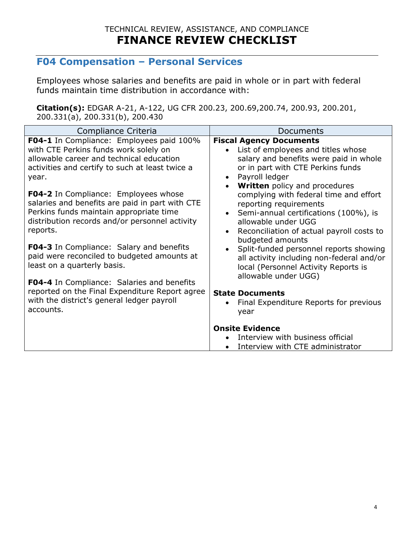# **F04 Compensation – Personal Services**

Employees whose salaries and benefits are paid in whole or in part with federal funds maintain time distribution in accordance with:

**Citation(s):** EDGAR A-21, A-122, UG CFR 200.23, 200.69,200.74, 200.93, 200.201, 200.331(a), 200.331(b), 200.430

| Compliance Criteria                                                                                                                                                                                     | Documents                                                                                                                                                                                                     |
|---------------------------------------------------------------------------------------------------------------------------------------------------------------------------------------------------------|---------------------------------------------------------------------------------------------------------------------------------------------------------------------------------------------------------------|
| F04-1 In Compliance: Employees paid 100%<br>with CTE Perkins funds work solely on<br>allowable career and technical education<br>activities and certify to such at least twice a<br>year.               | <b>Fiscal Agency Documents</b><br>List of employees and titles whose<br>salary and benefits were paid in whole<br>or in part with CTE Perkins funds<br>Payroll ledger<br><b>Written</b> policy and procedures |
| <b>F04-2</b> In Compliance: Employees whose<br>salaries and benefits are paid in part with CTE<br>Perkins funds maintain appropriate time<br>distribution records and/or personnel activity<br>reports. | complying with federal time and effort<br>reporting requirements<br>Semi-annual certifications (100%), is<br>allowable under UGG<br>Reconciliation of actual payroll costs to<br>budgeted amounts             |
| F04-3 In Compliance: Salary and benefits<br>paid were reconciled to budgeted amounts at<br>least on a quarterly basis.<br><b>F04-4</b> In Compliance: Salaries and benefits                             | Split-funded personnel reports showing<br>all activity including non-federal and/or<br>local (Personnel Activity Reports is<br>allowable under UGG)                                                           |
| reported on the Final Expenditure Report agree<br>with the district's general ledger payroll<br>accounts.                                                                                               | <b>State Documents</b><br>Final Expenditure Reports for previous<br>year                                                                                                                                      |
|                                                                                                                                                                                                         | <b>Onsite Evidence</b><br>Interview with business official                                                                                                                                                    |
|                                                                                                                                                                                                         | Interview with CTE administrator                                                                                                                                                                              |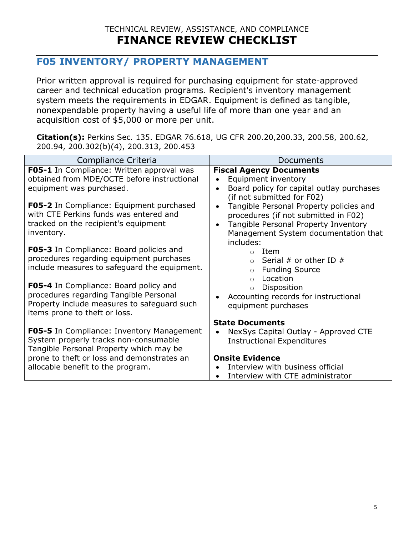### **F05 INVENTORY/ PROPERTY MANAGEMENT**

Prior written approval is required for purchasing equipment for state-approved career and technical education programs. Recipient's inventory management system meets the requirements in EDGAR. Equipment is defined as tangible, nonexpendable property having a useful life of more than one year and an acquisition cost of \$5,000 or more per unit.

**Citation(s):** Perkins Sec. 135. EDGAR 76.618, UG CFR 200.20,200.33, 200.58, 200.62, 200.94, 200.302(b)(4), 200.313, 200.453

| Compliance Criteria                                                                                                                                             | Documents                                                                                                                                                                                              |
|-----------------------------------------------------------------------------------------------------------------------------------------------------------------|--------------------------------------------------------------------------------------------------------------------------------------------------------------------------------------------------------|
| <b>F05-1</b> In Compliance: Written approval was<br>obtained from MDE/OCTE before instructional<br>equipment was purchased.                                     | <b>Fiscal Agency Documents</b><br>Equipment inventory<br>$\bullet$<br>Board policy for capital outlay purchases<br>$\bullet$<br>(if not submitted for F02)                                             |
| F05-2 In Compliance: Equipment purchased<br>with CTE Perkins funds was entered and<br>tracked on the recipient's equipment<br>inventory.                        | Tangible Personal Property policies and<br>$\bullet$<br>procedures (if not submitted in F02)<br>Tangible Personal Property Inventory<br>$\bullet$<br>Management System documentation that<br>includes: |
| F05-3 In Compliance: Board policies and<br>procedures regarding equipment purchases<br>include measures to safeguard the equipment.                             | Item<br>$\circ$<br>Serial # or other ID $#$<br>$\bigcap$<br><b>Funding Source</b><br>$\circ$<br>Location<br>$\bigcirc$                                                                                 |
| F05-4 In Compliance: Board policy and<br>procedures regarding Tangible Personal<br>Property include measures to safeguard such<br>items prone to theft or loss. | Disposition<br>$\circ$<br>Accounting records for instructional<br>$\bullet$<br>equipment purchases                                                                                                     |
|                                                                                                                                                                 | <b>State Documents</b>                                                                                                                                                                                 |
| <b>F05-5</b> In Compliance: Inventory Management<br>System properly tracks non-consumable<br>Tangible Personal Property which may be                            | NexSys Capital Outlay - Approved CTE<br><b>Instructional Expenditures</b>                                                                                                                              |
| prone to theft or loss and demonstrates an                                                                                                                      | <b>Onsite Evidence</b>                                                                                                                                                                                 |
| allocable benefit to the program.                                                                                                                               | Interview with business official<br>Interview with CTE administrator                                                                                                                                   |